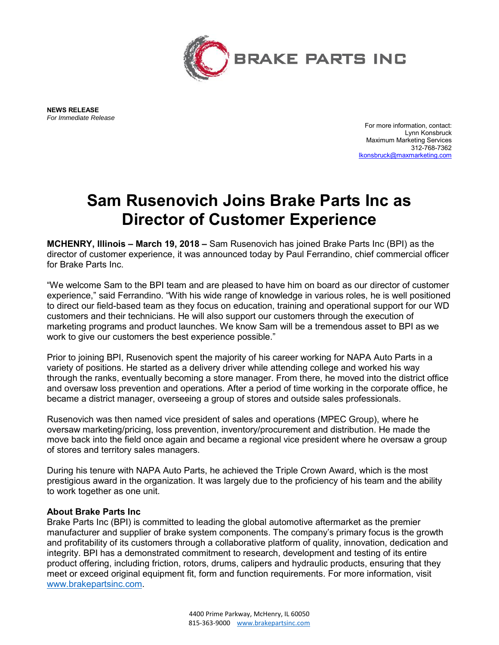

**NEWS RELEASE**  *For Immediate Release* 

For more information, contact: Lynn Konsbruck Maximum Marketing Services 312-768-7362 [lkonsbruck@maxmarketing.com](mailto:lkonsbruck@maxmarketing.com)

## **Sam Rusenovich Joins Brake Parts Inc as Director of Customer Experience**

**MCHENRY, Illinois – March 19, 2018 –** Sam Rusenovich has joined Brake Parts Inc (BPI) as the director of customer experience, it was announced today by Paul Ferrandino, chief commercial officer for Brake Parts Inc.

"We welcome Sam to the BPI team and are pleased to have him on board as our director of customer experience," said Ferrandino. "With his wide range of knowledge in various roles, he is well positioned to direct our field-based team as they focus on education, training and operational support for our WD customers and their technicians. He will also support our customers through the execution of marketing programs and product launches. We know Sam will be a tremendous asset to BPI as we work to give our customers the best experience possible."

Prior to joining BPI, Rusenovich spent the majority of his career working for NAPA Auto Parts in a variety of positions. He started as a delivery driver while attending college and worked his way through the ranks, eventually becoming a store manager. From there, he moved into the district office and oversaw loss prevention and operations. After a period of time working in the corporate office, he became a district manager, overseeing a group of stores and outside sales professionals.

Rusenovich was then named vice president of sales and operations (MPEC Group), where he oversaw marketing/pricing, loss prevention, inventory/procurement and distribution. He made the move back into the field once again and became a regional vice president where he oversaw a group of stores and territory sales managers.

During his tenure with NAPA Auto Parts, he achieved the Triple Crown Award, which is the most prestigious award in the organization. It was largely due to the proficiency of his team and the ability to work together as one unit.

## **About Brake Parts Inc**

Brake Parts Inc (BPI) is committed to leading the global automotive aftermarket as the premier manufacturer and supplier of brake system components. The company's primary focus is the growth and profitability of its customers through a collaborative platform of quality, innovation, dedication and integrity. BPI has a demonstrated commitment to research, development and testing of its entire product offering, including friction, rotors, drums, calipers and hydraulic products, ensuring that they meet or exceed original equipment fit, form and function requirements. For more information, visit [www.brakepartsinc.com.](http://www.brakepartsinc.com/)